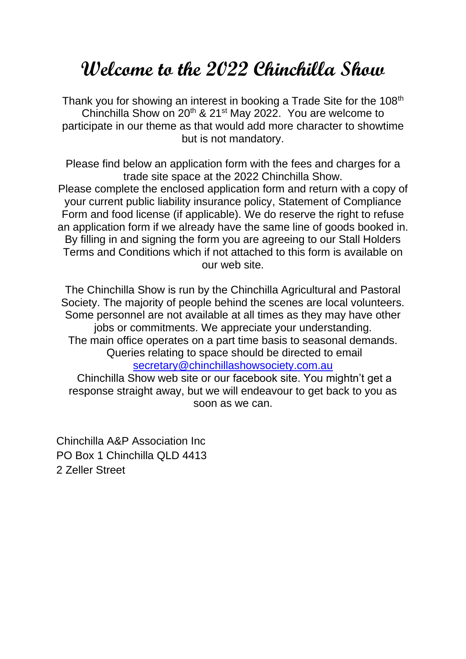## **Welcome to the 2022 Chinchilla Show**

Thank you for showing an interest in booking a Trade Site for the 108<sup>th</sup> Chinchilla Show on 20<sup>th</sup> & 21<sup>st</sup> May 2022. You are welcome to participate in our theme as that would add more character to showtime but is not mandatory.

Please find below an application form with the fees and charges for a trade site space at the 2022 Chinchilla Show. Please complete the enclosed application form and return with a copy of your current public liability insurance policy, Statement of Compliance Form and food license (if applicable). We do reserve the right to refuse an application form if we already have the same line of goods booked in. By filling in and signing the form you are agreeing to our Stall Holders Terms and Conditions which if not attached to this form is available on our web site.

The Chinchilla Show is run by the Chinchilla Agricultural and Pastoral Society. The majority of people behind the scenes are local volunteers. Some personnel are not available at all times as they may have other jobs or commitments. We appreciate your understanding. The main office operates on a part time basis to seasonal demands. Queries relating to space should be directed to email [secretary@chinchillashowsociety.com.au](mailto:secretary@chinchillashowsociety.com.au)

Chinchilla Show web site or our facebook site. You mightn't get a response straight away, but we will endeavour to get back to you as soon as we can.

Chinchilla A&P Association Inc PO Box 1 Chinchilla QLD 4413 2 Zeller Street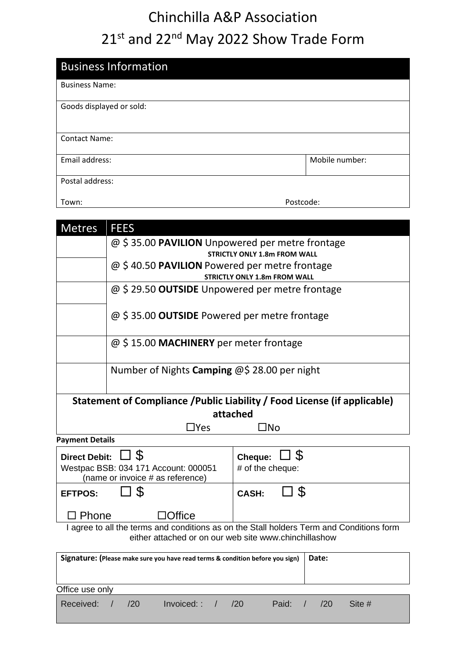## Chinchilla A&P Association 21st and 22<sup>nd</sup> May 2022 Show Trade Form

| <b>Business Information</b> |                |  |  |  |
|-----------------------------|----------------|--|--|--|
| <b>Business Name:</b>       |                |  |  |  |
| Goods displayed or sold:    |                |  |  |  |
| <b>Contact Name:</b>        |                |  |  |  |
| Email address:              | Mobile number: |  |  |  |
| Postal address:             |                |  |  |  |
| Town:                       | Postcode:      |  |  |  |

| <b>Metres</b>                                                                                                                                     | <b>FEES</b>                                                                   |                         |  |  |  |  |  |
|---------------------------------------------------------------------------------------------------------------------------------------------------|-------------------------------------------------------------------------------|-------------------------|--|--|--|--|--|
|                                                                                                                                                   | @ \$35.00 PAVILION Unpowered per metre frontage                               |                         |  |  |  |  |  |
|                                                                                                                                                   | <b>STRICTLY ONLY 1.8m FROM WALL</b>                                           |                         |  |  |  |  |  |
|                                                                                                                                                   | @ \$40.50 PAVILION Powered per metre frontage                                 |                         |  |  |  |  |  |
|                                                                                                                                                   | <b>STRICTLY ONLY 1.8m FROM WALL</b>                                           |                         |  |  |  |  |  |
|                                                                                                                                                   | @ \$29.50 <b>OUTSIDE</b> Unpowered per metre frontage                         |                         |  |  |  |  |  |
|                                                                                                                                                   | @ \$35.00 <b>OUTSIDE</b> Powered per metre frontage                           |                         |  |  |  |  |  |
|                                                                                                                                                   | @ \$15.00 MACHINERY per meter frontage                                        |                         |  |  |  |  |  |
|                                                                                                                                                   | Number of Nights Camping @\$ 28.00 per night                                  |                         |  |  |  |  |  |
| Statement of Compliance / Public Liability / Food License (if applicable)                                                                         |                                                                               |                         |  |  |  |  |  |
| attached                                                                                                                                          |                                                                               |                         |  |  |  |  |  |
|                                                                                                                                                   | $\exists$ Yes                                                                 | $\Box$ No               |  |  |  |  |  |
| <b>Payment Details</b>                                                                                                                            |                                                                               |                         |  |  |  |  |  |
| <b>Direct Debit:</b>                                                                                                                              | $\square$ \$                                                                  | <sup>3</sup><br>Cheque: |  |  |  |  |  |
| Westpac BSB: 034 171 Account: 000051                                                                                                              |                                                                               | # of the cheque:        |  |  |  |  |  |
|                                                                                                                                                   | (name or invoice # as reference)                                              |                         |  |  |  |  |  |
| <b>EFTPOS:</b>                                                                                                                                    | S.                                                                            | S<br><b>CASH:</b>       |  |  |  |  |  |
| Phone                                                                                                                                             | 1Office                                                                       |                         |  |  |  |  |  |
| I agree to all the terms and conditions as on the Stall holders Term and Conditions form<br>either attached or on our web site www.chinchillashow |                                                                               |                         |  |  |  |  |  |
|                                                                                                                                                   |                                                                               |                         |  |  |  |  |  |
|                                                                                                                                                   | Signature: (Please make sure you have read terms & condition before you sign) | Date:                   |  |  |  |  |  |
| Office use only                                                                                                                                   |                                                                               |                         |  |  |  |  |  |

|--|--|--|--|--|--|--|--|--|--|--|